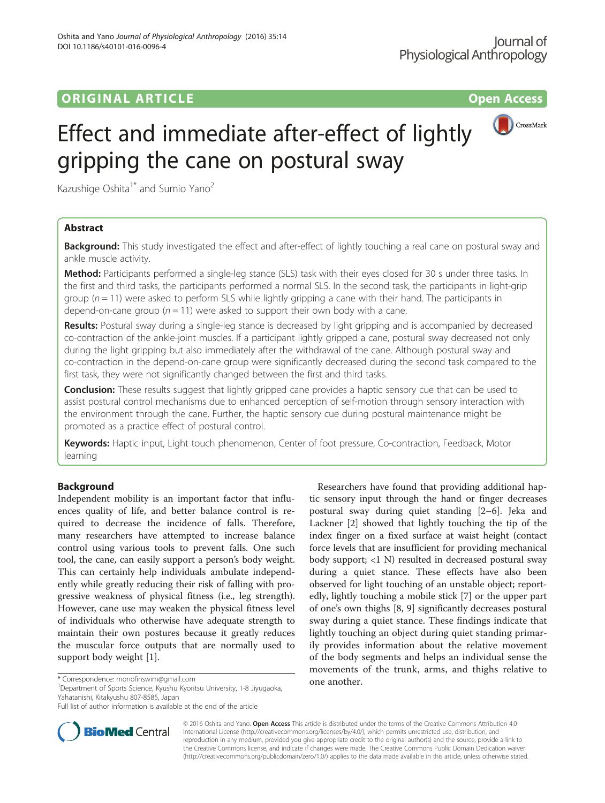# **ORIGINAL ARTICLE CONSERVANCE CONSERVANCE CONSERVANCE CONSERVANCE CONSERVANCE CONSERVANCE CONSERVANCE CONSERVANCE**



# Effect and immediate after-effect of lightly gripping the cane on postural sway

Kazushige Oshita<sup>1\*</sup> and Sumio Yano<sup>2</sup>

# Abstract

**Background:** This study investigated the effect and after-effect of lightly touching a real cane on postural sway and ankle muscle activity.

Method: Participants performed a single-leg stance (SLS) task with their eyes closed for 30 s under three tasks. In the first and third tasks, the participants performed a normal SLS. In the second task, the participants in light-grip group ( $n = 11$ ) were asked to perform SLS while lightly gripping a cane with their hand. The participants in depend-on-cane group ( $n = 11$ ) were asked to support their own body with a cane.

Results: Postural sway during a single-leg stance is decreased by light gripping and is accompanied by decreased co-contraction of the ankle-joint muscles. If a participant lightly gripped a cane, postural sway decreased not only during the light gripping but also immediately after the withdrawal of the cane. Although postural sway and co-contraction in the depend-on-cane group were significantly decreased during the second task compared to the first task, they were not significantly changed between the first and third tasks.

**Conclusion:** These results suggest that lightly gripped cane provides a haptic sensory cue that can be used to assist postural control mechanisms due to enhanced perception of self-motion through sensory interaction with the environment through the cane. Further, the haptic sensory cue during postural maintenance might be promoted as a practice effect of postural control.

Keywords: Haptic input, Light touch phenomenon, Center of foot pressure, Co-contraction, Feedback, Motor learning

## Background

Independent mobility is an important factor that influences quality of life, and better balance control is required to decrease the incidence of falls. Therefore, many researchers have attempted to increase balance control using various tools to prevent falls. One such tool, the cane, can easily support a person's body weight. This can certainly help individuals ambulate independently while greatly reducing their risk of falling with progressive weakness of physical fitness (i.e., leg strength). However, cane use may weaken the physical fitness level of individuals who otherwise have adequate strength to maintain their own postures because it greatly reduces the muscular force outputs that are normally used to support body weight [[1\]](#page-6-0).

\* Correspondence: [monofinswim@gmail.com](mailto:monofinswim@gmail.com)<br><sup>1</sup>Department of Sports Science, Kyushu Kyoritsu University, 1-8 Jiyugaoka, **http://** Yahatanishi, Kitakyushu 807-8585, Japan

Researchers have found that providing additional haptic sensory input through the hand or finger decreases postural sway during quiet standing [\[2](#page-6-0)–[6](#page-6-0)]. Jeka and Lackner [[2\]](#page-6-0) showed that lightly touching the tip of the index finger on a fixed surface at waist height (contact force levels that are insufficient for providing mechanical body support; <1 N) resulted in decreased postural sway during a quiet stance. These effects have also been observed for light touching of an unstable object; reportedly, lightly touching a mobile stick [[7\]](#page-6-0) or the upper part of one's own thighs [\[8](#page-6-0), [9\]](#page-6-0) significantly decreases postural sway during a quiet stance. These findings indicate that lightly touching an object during quiet standing primarily provides information about the relative movement of the body segments and helps an individual sense the movements of the trunk, arms, and thighs relative to



© 2016 Oshita and Yano. Open Access This article is distributed under the terms of the Creative Commons Attribution 4.0 International License [\(http://creativecommons.org/licenses/by/4.0/](http://creativecommons.org/licenses/by/4.0/)), which permits unrestricted use, distribution, and reproduction in any medium, provided you give appropriate credit to the original author(s) and the source, provide a link to the Creative Commons license, and indicate if changes were made. The Creative Commons Public Domain Dedication waiver [\(http://creativecommons.org/publicdomain/zero/1.0/](http://creativecommons.org/publicdomain/zero/1.0/)) applies to the data made available in this article, unless otherwise stated.

Full list of author information is available at the end of the article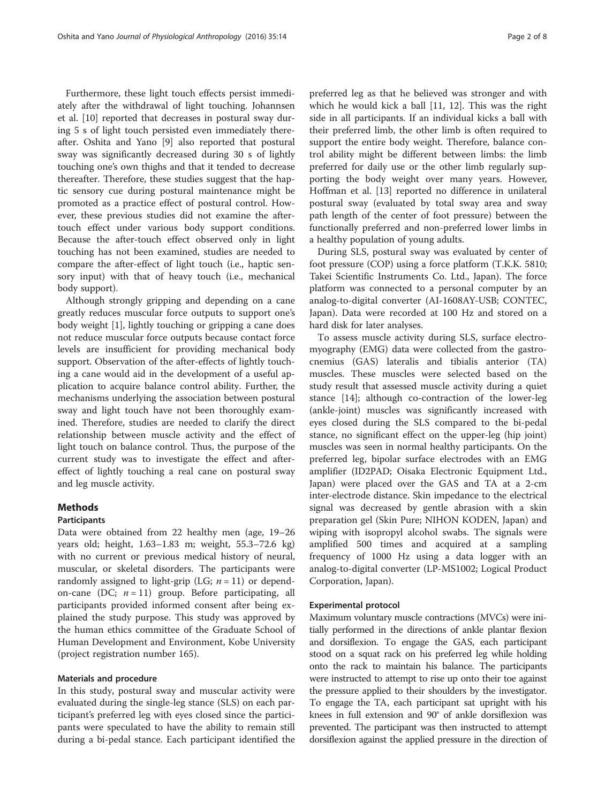Furthermore, these light touch effects persist immediately after the withdrawal of light touching. Johannsen et al. [[10\]](#page-6-0) reported that decreases in postural sway during 5 s of light touch persisted even immediately thereafter. Oshita and Yano [[9\]](#page-6-0) also reported that postural sway was significantly decreased during 30 s of lightly touching one's own thighs and that it tended to decrease thereafter. Therefore, these studies suggest that the haptic sensory cue during postural maintenance might be promoted as a practice effect of postural control. However, these previous studies did not examine the aftertouch effect under various body support conditions. Because the after-touch effect observed only in light touching has not been examined, studies are needed to compare the after-effect of light touch (i.e., haptic sensory input) with that of heavy touch (i.e., mechanical body support).

Although strongly gripping and depending on a cane greatly reduces muscular force outputs to support one's body weight [[1\]](#page-6-0), lightly touching or gripping a cane does not reduce muscular force outputs because contact force levels are insufficient for providing mechanical body support. Observation of the after-effects of lightly touching a cane would aid in the development of a useful application to acquire balance control ability. Further, the mechanisms underlying the association between postural sway and light touch have not been thoroughly examined. Therefore, studies are needed to clarify the direct relationship between muscle activity and the effect of light touch on balance control. Thus, the purpose of the current study was to investigate the effect and aftereffect of lightly touching a real cane on postural sway and leg muscle activity.

#### Methods

## Participants

Data were obtained from 22 healthy men (age, 19–26 years old; height, 1.63–1.83 m; weight, 55.3–72.6 kg) with no current or previous medical history of neural, muscular, or skeletal disorders. The participants were randomly assigned to light-grip (LG;  $n = 11$ ) or dependon-cane (DC;  $n = 11$ ) group. Before participating, all participants provided informed consent after being explained the study purpose. This study was approved by the human ethics committee of the Graduate School of Human Development and Environment, Kobe University (project registration number 165).

## Materials and procedure

In this study, postural sway and muscular activity were evaluated during the single-leg stance (SLS) on each participant's preferred leg with eyes closed since the participants were speculated to have the ability to remain still during a bi-pedal stance. Each participant identified the

preferred leg as that he believed was stronger and with which he would kick a ball [\[11](#page-6-0), [12](#page-7-0)]. This was the right side in all participants. If an individual kicks a ball with their preferred limb, the other limb is often required to support the entire body weight. Therefore, balance control ability might be different between limbs: the limb preferred for daily use or the other limb regularly supporting the body weight over many years. However, Hoffman et al. [\[13\]](#page-7-0) reported no difference in unilateral postural sway (evaluated by total sway area and sway path length of the center of foot pressure) between the functionally preferred and non-preferred lower limbs in a healthy population of young adults.

During SLS, postural sway was evaluated by center of foot pressure (COP) using a force platform (T.K.K. 5810; Takei Scientific Instruments Co. Ltd., Japan). The force platform was connected to a personal computer by an analog-to-digital converter (AI-1608AY-USB; CONTEC, Japan). Data were recorded at 100 Hz and stored on a hard disk for later analyses.

To assess muscle activity during SLS, surface electromyography (EMG) data were collected from the gastrocnemius (GAS) lateralis and tibialis anterior (TA) muscles. These muscles were selected based on the study result that assessed muscle activity during a quiet stance [\[14](#page-7-0)]; although co-contraction of the lower-leg (ankle-joint) muscles was significantly increased with eyes closed during the SLS compared to the bi-pedal stance, no significant effect on the upper-leg (hip joint) muscles was seen in normal healthy participants. On the preferred leg, bipolar surface electrodes with an EMG amplifier (ID2PAD; Oisaka Electronic Equipment Ltd., Japan) were placed over the GAS and TA at a 2-cm inter-electrode distance. Skin impedance to the electrical signal was decreased by gentle abrasion with a skin preparation gel (Skin Pure; NIHON KODEN, Japan) and wiping with isopropyl alcohol swabs. The signals were amplified 500 times and acquired at a sampling frequency of 1000 Hz using a data logger with an analog-to-digital converter (LP-MS1002; Logical Product Corporation, Japan).

#### Experimental protocol

Maximum voluntary muscle contractions (MVCs) were initially performed in the directions of ankle plantar flexion and dorsiflexion. To engage the GAS, each participant stood on a squat rack on his preferred leg while holding onto the rack to maintain his balance. The participants were instructed to attempt to rise up onto their toe against the pressure applied to their shoulders by the investigator. To engage the TA, each participant sat upright with his knees in full extension and 90° of ankle dorsiflexion was prevented. The participant was then instructed to attempt dorsiflexion against the applied pressure in the direction of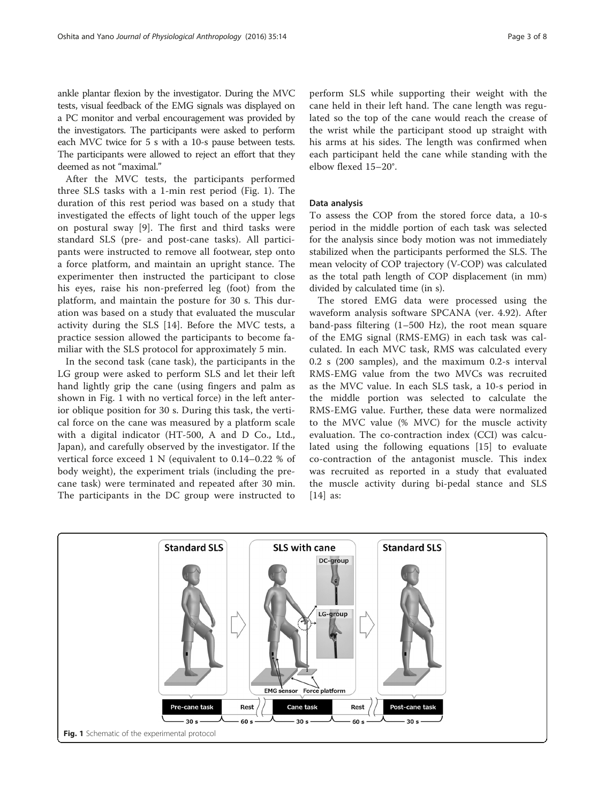ankle plantar flexion by the investigator. During the MVC tests, visual feedback of the EMG signals was displayed on a PC monitor and verbal encouragement was provided by the investigators. The participants were asked to perform each MVC twice for 5 s with a 10-s pause between tests. The participants were allowed to reject an effort that they deemed as not "maximal."

After the MVC tests, the participants performed three SLS tasks with a 1-min rest period (Fig. 1). The duration of this rest period was based on a study that investigated the effects of light touch of the upper legs on postural sway [[9\]](#page-6-0). The first and third tasks were standard SLS (pre- and post-cane tasks). All participants were instructed to remove all footwear, step onto a force platform, and maintain an upright stance. The experimenter then instructed the participant to close his eyes, raise his non-preferred leg (foot) from the platform, and maintain the posture for 30 s. This duration was based on a study that evaluated the muscular activity during the SLS [\[14](#page-7-0)]. Before the MVC tests, a practice session allowed the participants to become familiar with the SLS protocol for approximately 5 min.

In the second task (cane task), the participants in the LG group were asked to perform SLS and let their left hand lightly grip the cane (using fingers and palm as shown in Fig. 1 with no vertical force) in the left anterior oblique position for 30 s. During this task, the vertical force on the cane was measured by a platform scale with a digital indicator (HT-500, A and D Co., Ltd., Japan), and carefully observed by the investigator. If the vertical force exceed 1 N (equivalent to 0.14–0.22 % of body weight), the experiment trials (including the precane task) were terminated and repeated after 30 min. The participants in the DC group were instructed to perform SLS while supporting their weight with the cane held in their left hand. The cane length was regulated so the top of the cane would reach the crease of the wrist while the participant stood up straight with his arms at his sides. The length was confirmed when each participant held the cane while standing with the elbow flexed 15–20°.

## Data analysis

To assess the COP from the stored force data, a 10-s period in the middle portion of each task was selected for the analysis since body motion was not immediately stabilized when the participants performed the SLS. The mean velocity of COP trajectory (V-COP) was calculated as the total path length of COP displacement (in mm) divided by calculated time (in s).

The stored EMG data were processed using the waveform analysis software SPCANA (ver. 4.92). After band-pass filtering (1–500 Hz), the root mean square of the EMG signal (RMS-EMG) in each task was calculated. In each MVC task, RMS was calculated every 0.2 s (200 samples), and the maximum 0.2-s interval RMS-EMG value from the two MVCs was recruited as the MVC value. In each SLS task, a 10-s period in the middle portion was selected to calculate the RMS-EMG value. Further, these data were normalized to the MVC value (% MVC) for the muscle activity evaluation. The co-contraction index (CCI) was calculated using the following equations [\[15](#page-7-0)] to evaluate co-contraction of the antagonist muscle. This index was recruited as reported in a study that evaluated the muscle activity during bi-pedal stance and SLS [[14\]](#page-7-0) as:

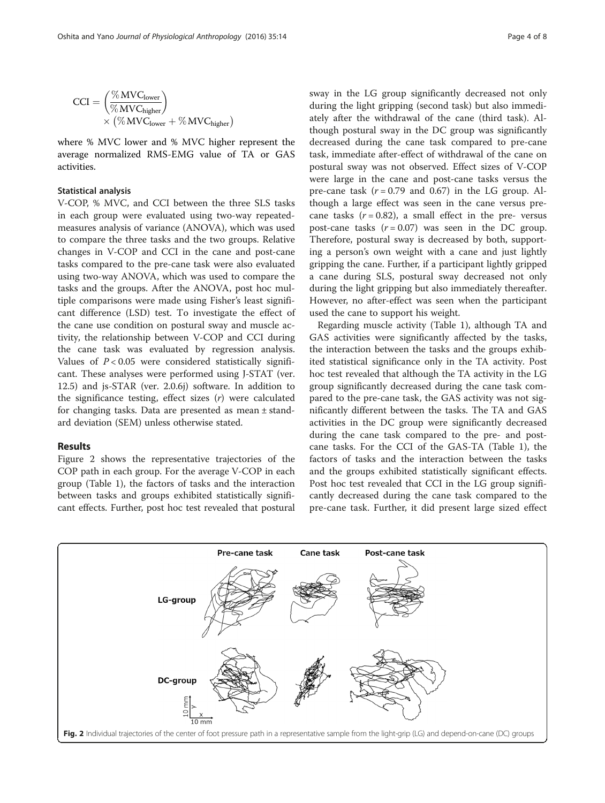$$
CCI = \left(\frac{\%MVC_{lower}}{\%MVC_{higher}}\right) \times \left(\%MVC_{lower} + %MVC_{higher}\right)
$$

where % MVC lower and % MVC higher represent the average normalized RMS-EMG value of TA or GAS activities.

### Statistical analysis

V-COP, % MVC, and CCI between the three SLS tasks in each group were evaluated using two-way repeatedmeasures analysis of variance (ANOVA), which was used to compare the three tasks and the two groups. Relative changes in V-COP and CCI in the cane and post-cane tasks compared to the pre-cane task were also evaluated using two-way ANOVA, which was used to compare the tasks and the groups. After the ANOVA, post hoc multiple comparisons were made using Fisher's least significant difference (LSD) test. To investigate the effect of the cane use condition on postural sway and muscle activity, the relationship between V-COP and CCI during the cane task was evaluated by regression analysis. Values of  $P < 0.05$  were considered statistically significant. These analyses were performed using J-STAT (ver. 12.5) and js-STAR (ver. 2.0.6j) software. In addition to the significance testing, effect sizes  $(r)$  were calculated for changing tasks. Data are presented as mean ± standard deviation (SEM) unless otherwise stated.

#### Results

Figure 2 shows the representative trajectories of the COP path in each group. For the average V-COP in each group (Table [1](#page-4-0)), the factors of tasks and the interaction between tasks and groups exhibited statistically significant effects. Further, post hoc test revealed that postural sway in the LG group significantly decreased not only during the light gripping (second task) but also immediately after the withdrawal of the cane (third task). Although postural sway in the DC group was significantly decreased during the cane task compared to pre-cane task, immediate after-effect of withdrawal of the cane on postural sway was not observed. Effect sizes of V-COP were large in the cane and post-cane tasks versus the pre-cane task  $(r = 0.79$  and 0.67) in the LG group. Although a large effect was seen in the cane versus precane tasks  $(r = 0.82)$ , a small effect in the pre- versus post-cane tasks  $(r = 0.07)$  was seen in the DC group. Therefore, postural sway is decreased by both, supporting a person's own weight with a cane and just lightly gripping the cane. Further, if a participant lightly gripped a cane during SLS, postural sway decreased not only during the light gripping but also immediately thereafter. However, no after-effect was seen when the participant used the cane to support his weight.

Regarding muscle activity (Table [1](#page-4-0)), although TA and GAS activities were significantly affected by the tasks, the interaction between the tasks and the groups exhibited statistical significance only in the TA activity. Post hoc test revealed that although the TA activity in the LG group significantly decreased during the cane task compared to the pre-cane task, the GAS activity was not significantly different between the tasks. The TA and GAS activities in the DC group were significantly decreased during the cane task compared to the pre- and postcane tasks. For the CCI of the GAS-TA (Table [1\)](#page-4-0), the factors of tasks and the interaction between the tasks and the groups exhibited statistically significant effects. Post hoc test revealed that CCI in the LG group significantly decreased during the cane task compared to the pre-cane task. Further, it did present large sized effect

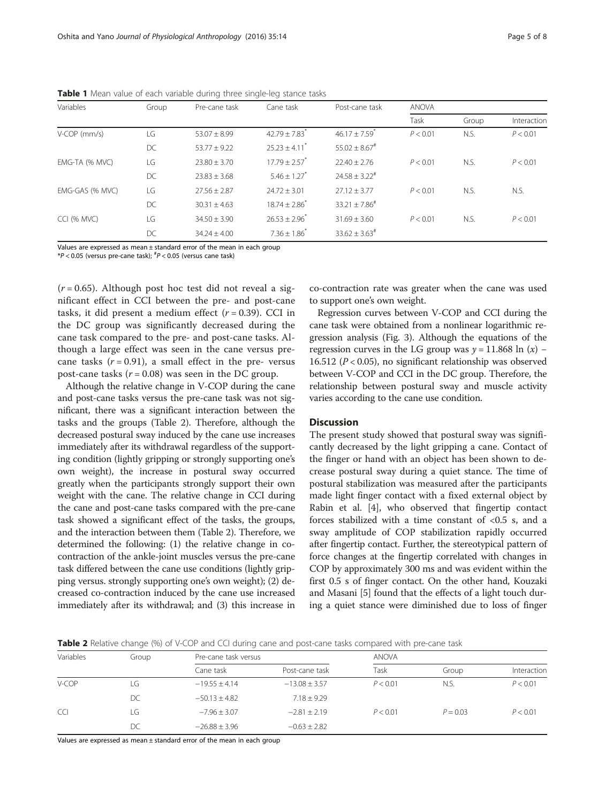| Variables          | Group | Pre-cane task    | Cane task                     | Post-cane task                | <b>ANOVA</b> |       |             |
|--------------------|-------|------------------|-------------------------------|-------------------------------|--------------|-------|-------------|
|                    |       |                  |                               |                               | Task         | Group | Interaction |
| $V-COP$ (mm/s)     | LG    | $53.07 \pm 8.99$ | $42.79 \pm 7.83$ <sup>*</sup> | $46.17 \pm 7.59$ <sup>*</sup> | P < 0.01     | N.S.  | P < 0.01    |
|                    | DC    | $53.77 \pm 9.22$ | $25.23 \pm 4.11$ <sup>*</sup> | $55.02 \pm 8.67$ <sup>#</sup> |              |       |             |
| EMG-TA (% MVC)     | LG    | $23.80 \pm 3.70$ | $17.79 \pm 2.57$ <sup>*</sup> | $22.40 + 2.76$                | P < 0.01     | N.S.  | P < 0.01    |
|                    | DC    | $23.83 \pm 3.68$ | $5.46 \pm 1.27$               | $24.58 \pm 3.22^{\#}$         |              |       |             |
| EMG-GAS (% MVC)    | LG    | $27.56 + 2.87$   | $74.77 + 3.01$                | $27.12 + 3.77$                | P < 0.01     | N.S.  | N.S.        |
|                    | DC    | $30.31 \pm 4.63$ | $18.74 \pm 2.86$ <sup>*</sup> | $33.21 + 7.86^{\#}$           |              |       |             |
| <b>CCI (% MVC)</b> | LG    | $34.50 \pm 3.90$ | $26.53 \pm 2.96^{*}$          | $31.69 \pm 3.60$              | P < 0.01     | N.S.  | P < 0.01    |
|                    | DC    | $34.24 + 4.00$   | $7.36 \pm 1.86^*$             | $33.62 \pm 3.63^{\#}$         |              |       |             |

<span id="page-4-0"></span>Table 1 Mean value of each variable during three single-leg stance tasks

Values are expressed as mean  $\pm$  standard error of the mean in each group

 $*P < 0.05$  (versus pre-cane task);  $*P < 0.05$  (versus cane task)

 $(r = 0.65)$ . Although post hoc test did not reveal a significant effect in CCI between the pre- and post-cane tasks, it did present a medium effect  $(r = 0.39)$ . CCI in the DC group was significantly decreased during the cane task compared to the pre- and post-cane tasks. Although a large effect was seen in the cane versus precane tasks  $(r = 0.91)$ , a small effect in the pre- versus post-cane tasks ( $r = 0.08$ ) was seen in the DC group.

Although the relative change in V-COP during the cane and post-cane tasks versus the pre-cane task was not significant, there was a significant interaction between the tasks and the groups (Table 2). Therefore, although the decreased postural sway induced by the cane use increases immediately after its withdrawal regardless of the supporting condition (lightly gripping or strongly supporting one's own weight), the increase in postural sway occurred greatly when the participants strongly support their own weight with the cane. The relative change in CCI during the cane and post-cane tasks compared with the pre-cane task showed a significant effect of the tasks, the groups, and the interaction between them (Table 2). Therefore, we determined the following: (1) the relative change in cocontraction of the ankle-joint muscles versus the pre-cane task differed between the cane use conditions (lightly gripping versus. strongly supporting one's own weight); (2) decreased co-contraction induced by the cane use increased immediately after its withdrawal; and (3) this increase in

co-contraction rate was greater when the cane was used to support one's own weight.

Regression curves between V-COP and CCI during the cane task were obtained from a nonlinear logarithmic regression analysis (Fig. [3\)](#page-5-0). Although the equations of the regression curves in the LG group was  $y = 11.868 \ln(x) -$ 16.512 ( $P < 0.05$ ), no significant relationship was observed between V-COP and CCI in the DC group. Therefore, the relationship between postural sway and muscle activity varies according to the cane use condition.

## **Discussion**

The present study showed that postural sway was significantly decreased by the light gripping a cane. Contact of the finger or hand with an object has been shown to decrease postural sway during a quiet stance. The time of postural stabilization was measured after the participants made light finger contact with a fixed external object by Rabin et al. [\[4](#page-6-0)], who observed that fingertip contact forces stabilized with a time constant of <0.5 s, and a sway amplitude of COP stabilization rapidly occurred after fingertip contact. Further, the stereotypical pattern of force changes at the fingertip correlated with changes in COP by approximately 300 ms and was evident within the first 0.5 s of finger contact. On the other hand, Kouzaki and Masani [[5](#page-6-0)] found that the effects of a light touch during a quiet stance were diminished due to loss of finger

**Table 2** Relative change (%) of V-COP and CCI during cane and post-cane tasks compared with pre-cane task

| Variables  | Group |                   | Pre-cane task versus |          | <b>ANOVA</b> |             |  |  |
|------------|-------|-------------------|----------------------|----------|--------------|-------------|--|--|
|            |       | Cane task         | Post-cane task       | Task     | Group        | Interaction |  |  |
| V-COP      | LG    | $-19.55 + 4.14$   | $-13.08 \pm 3.57$    | P < 0.01 | N.S.         | P < 0.01    |  |  |
|            | DC    | $-50.13 \pm 4.82$ | $7.18 + 9.29$        |          |              |             |  |  |
| <b>CCI</b> | LG    | $-7.96 + 3.07$    | $-2.81 + 2.19$       | P < 0.01 | $P = 0.03$   | P < 0.01    |  |  |
|            | DC    | $-26.88 \pm 3.96$ | $-0.63 + 2.82$       |          |              |             |  |  |

Values are expressed as mean ± standard error of the mean in each group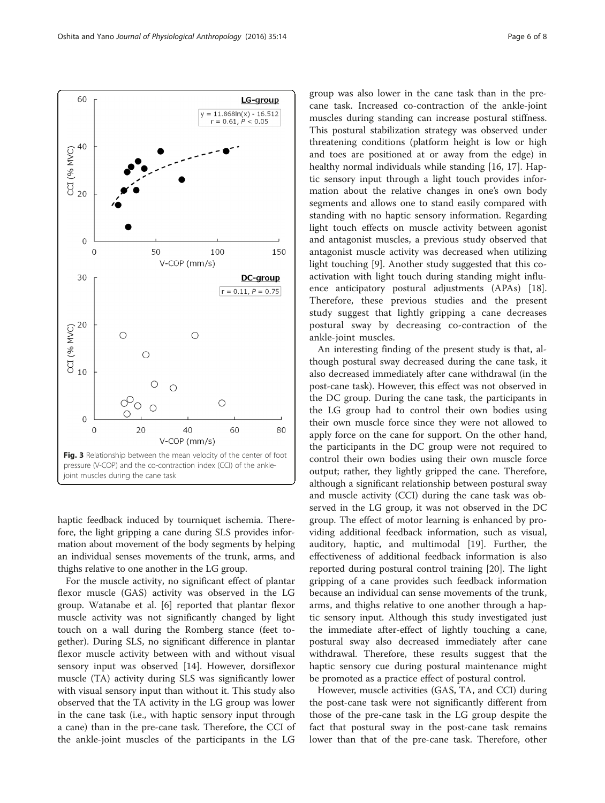<span id="page-5-0"></span>

haptic feedback induced by tourniquet ischemia. Therefore, the light gripping a cane during SLS provides information about movement of the body segments by helping an individual senses movements of the trunk, arms, and thighs relative to one another in the LG group.

For the muscle activity, no significant effect of plantar flexor muscle (GAS) activity was observed in the LG group. Watanabe et al. [[6\]](#page-6-0) reported that plantar flexor muscle activity was not significantly changed by light touch on a wall during the Romberg stance (feet together). During SLS, no significant difference in plantar flexor muscle activity between with and without visual sensory input was observed [[14](#page-7-0)]. However, dorsiflexor muscle (TA) activity during SLS was significantly lower with visual sensory input than without it. This study also observed that the TA activity in the LG group was lower in the cane task (i.e., with haptic sensory input through a cane) than in the pre-cane task. Therefore, the CCI of the ankle-joint muscles of the participants in the LG group was also lower in the cane task than in the precane task. Increased co-contraction of the ankle-joint muscles during standing can increase postural stiffness. This postural stabilization strategy was observed under threatening conditions (platform height is low or high and toes are positioned at or away from the edge) in healthy normal individuals while standing [[16, 17](#page-7-0)]. Haptic sensory input through a light touch provides information about the relative changes in one's own body segments and allows one to stand easily compared with standing with no haptic sensory information. Regarding light touch effects on muscle activity between agonist and antagonist muscles, a previous study observed that antagonist muscle activity was decreased when utilizing light touching [[9\]](#page-6-0). Another study suggested that this coactivation with light touch during standing might influence anticipatory postural adjustments (APAs) [\[18](#page-7-0)]. Therefore, these previous studies and the present study suggest that lightly gripping a cane decreases postural sway by decreasing co-contraction of the ankle-joint muscles.

An interesting finding of the present study is that, although postural sway decreased during the cane task, it also decreased immediately after cane withdrawal (in the post-cane task). However, this effect was not observed in the DC group. During the cane task, the participants in the LG group had to control their own bodies using their own muscle force since they were not allowed to apply force on the cane for support. On the other hand, the participants in the DC group were not required to control their own bodies using their own muscle force output; rather, they lightly gripped the cane. Therefore, although a significant relationship between postural sway and muscle activity (CCI) during the cane task was observed in the LG group, it was not observed in the DC group. The effect of motor learning is enhanced by providing additional feedback information, such as visual, auditory, haptic, and multimodal [\[19](#page-7-0)]. Further, the effectiveness of additional feedback information is also reported during postural control training [[20\]](#page-7-0). The light gripping of a cane provides such feedback information because an individual can sense movements of the trunk, arms, and thighs relative to one another through a haptic sensory input. Although this study investigated just the immediate after-effect of lightly touching a cane, postural sway also decreased immediately after cane withdrawal. Therefore, these results suggest that the haptic sensory cue during postural maintenance might be promoted as a practice effect of postural control.

However, muscle activities (GAS, TA, and CCI) during the post-cane task were not significantly different from those of the pre-cane task in the LG group despite the fact that postural sway in the post-cane task remains lower than that of the pre-cane task. Therefore, other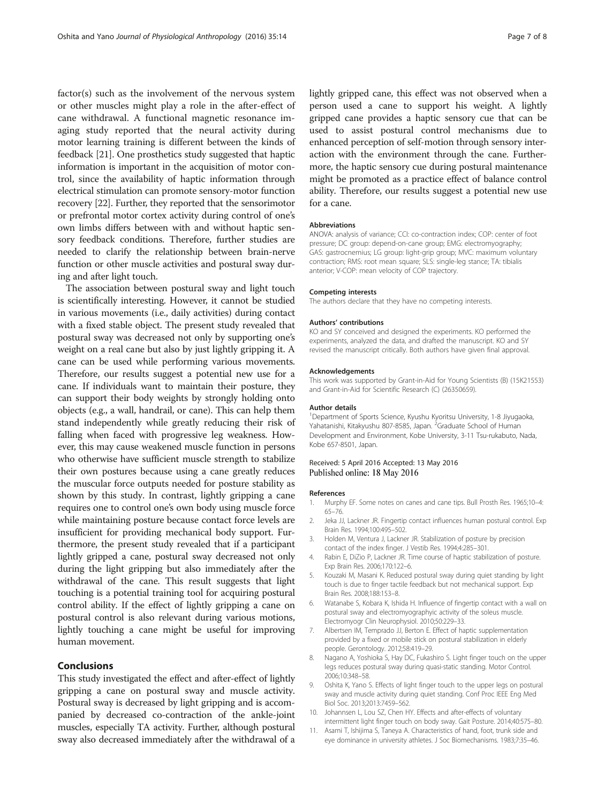<span id="page-6-0"></span>factor(s) such as the involvement of the nervous system or other muscles might play a role in the after-effect of cane withdrawal. A functional magnetic resonance imaging study reported that the neural activity during motor learning training is different between the kinds of feedback [[21](#page-7-0)]. One prosthetics study suggested that haptic information is important in the acquisition of motor control, since the availability of haptic information through electrical stimulation can promote sensory-motor function recovery [\[22\]](#page-7-0). Further, they reported that the sensorimotor or prefrontal motor cortex activity during control of one's own limbs differs between with and without haptic sensory feedback conditions. Therefore, further studies are needed to clarify the relationship between brain-nerve function or other muscle activities and postural sway during and after light touch.

The association between postural sway and light touch is scientifically interesting. However, it cannot be studied in various movements (i.e., daily activities) during contact with a fixed stable object. The present study revealed that postural sway was decreased not only by supporting one's weight on a real cane but also by just lightly gripping it. A cane can be used while performing various movements. Therefore, our results suggest a potential new use for a cane. If individuals want to maintain their posture, they can support their body weights by strongly holding onto objects (e.g., a wall, handrail, or cane). This can help them stand independently while greatly reducing their risk of falling when faced with progressive leg weakness. However, this may cause weakened muscle function in persons who otherwise have sufficient muscle strength to stabilize their own postures because using a cane greatly reduces the muscular force outputs needed for posture stability as shown by this study. In contrast, lightly gripping a cane requires one to control one's own body using muscle force while maintaining posture because contact force levels are insufficient for providing mechanical body support. Furthermore, the present study revealed that if a participant lightly gripped a cane, postural sway decreased not only during the light gripping but also immediately after the withdrawal of the cane. This result suggests that light touching is a potential training tool for acquiring postural control ability. If the effect of lightly gripping a cane on postural control is also relevant during various motions, lightly touching a cane might be useful for improving human movement.

## Conclusions

This study investigated the effect and after-effect of lightly gripping a cane on postural sway and muscle activity. Postural sway is decreased by light gripping and is accompanied by decreased co-contraction of the ankle-joint muscles, especially TA activity. Further, although postural sway also decreased immediately after the withdrawal of a lightly gripped cane, this effect was not observed when a person used a cane to support his weight. A lightly gripped cane provides a haptic sensory cue that can be used to assist postural control mechanisms due to enhanced perception of self-motion through sensory interaction with the environment through the cane. Furthermore, the haptic sensory cue during postural maintenance might be promoted as a practice effect of balance control ability. Therefore, our results suggest a potential new use for a cane.

#### Abbreviations

ANOVA: analysis of variance; CCI: co-contraction index; COP: center of foot pressure; DC group: depend-on-cane group; EMG: electromyography; GAS: gastrocnemius; LG group: light-grip group; MVC: maximum voluntary contraction; RMS: root mean square; SLS: single-leg stance; TA: tibialis anterior; V-COP: mean velocity of COP trajectory.

#### Competing interests

The authors declare that they have no competing interests.

#### Authors' contributions

KO and SY conceived and designed the experiments. KO performed the experiments, analyzed the data, and drafted the manuscript. KO and SY revised the manuscript critically. Both authors have given final approval.

#### Acknowledgements

This work was supported by Grant-in-Aid for Young Scientists (B) (15K21553) and Grant-in-Aid for Scientific Research (C) (26350659).

#### Author details

<sup>1</sup> Department of Sports Science, Kyushu Kyoritsu University, 1-8 Jiyugaoka, Yahatanishi, Kitakyushu 807-8585, Japan. <sup>2</sup>Graduate School of Human Development and Environment, Kobe University, 3-11 Tsu-rukabuto, Nada, Kobe 657-8501, Japan.

#### Received: 5 April 2016 Accepted: 13 May 2016 Published online: 18 May 2016

#### References

- 1. Murphy EF. Some notes on canes and cane tips. Bull Prosth Res. 1965;10–4: 65–76.
- 2. Jeka JJ, Lackner JR. Fingertip contact influences human postural control. Exp Brain Res. 1994;100:495–502.
- 3. Holden M, Ventura J, Lackner JR. Stabilization of posture by precision contact of the index finger. J Vestib Res. 1994;4:285–301.
- 4. Rabin E, DiZio P, Lackner JR. Time course of haptic stabilization of posture. Exp Brain Res. 2006;170:122–6.
- 5. Kouzaki M, Masani K. Reduced postural sway during quiet standing by light touch is due to finger tactile feedback but not mechanical support. Exp Brain Res. 2008;188:153–8.
- 6. Watanabe S, Kobara K, Ishida H. Influence of fingertip contact with a wall on postural sway and electromyographyic activity of the soleus muscle. Electromyogr Clin Neurophysiol. 2010;50:229–33.
- 7. Albertsen IM, Temprado JJ, Berton E. Effect of haptic supplementation provided by a fixed or mobile stick on postural stabilization in elderly people. Gerontology. 2012;58:419–29.
- Nagano A, Yoshioka S, Hay DC, Fukashiro S. Light finger touch on the upper legs reduces postural sway during quasi-static standing. Motor Control. 2006;10:348–58.
- 9. Oshita K, Yano S. Effects of light finger touch to the upper legs on postural sway and muscle activity during quiet standing. Conf Proc IEEE Eng Med Biol Soc. 2013;2013:7459–562.
- 10. Johannsen L, Lou SZ, Chen HY. Effects and after-effects of voluntary intermittent light finger touch on body sway. Gait Posture. 2014;40:575–80.
- 11. Asami T, Ishijima S, Taneya A. Characteristics of hand, foot, trunk side and eye dominance in university athletes. J Soc Biomechanisms. 1983;7:35–46.